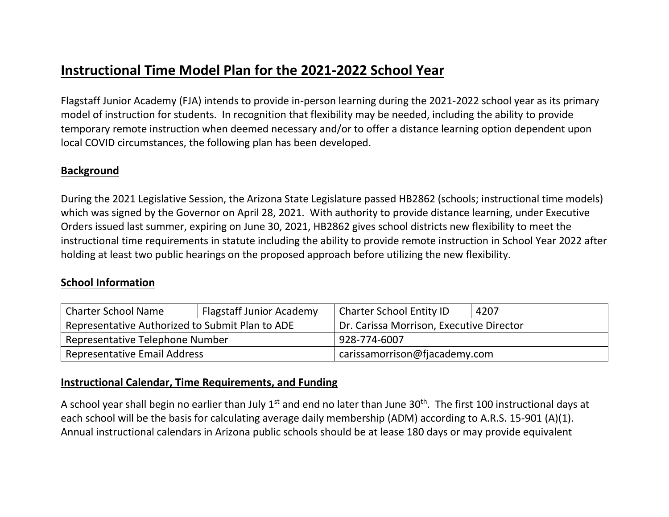## **Instructional Time Model Plan for the 2021-2022 School Year**

Flagstaff Junior Academy (FJA) intends to provide in-person learning during the 2021-2022 school year as its primary model of instruction for students. In recognition that flexibility may be needed, including the ability to provide temporary remote instruction when deemed necessary and/or to offer a distance learning option dependent upon local COVID circumstances, the following plan has been developed.

#### **Background**

During the 2021 Legislative Session, the Arizona State Legislature passed HB2862 (schools; instructional time models) which was signed by the Governor on April 28, 2021. With authority to provide distance learning, under Executive Orders issued last summer, expiring on June 30, 2021, HB2862 gives school districts new flexibility to meet the instructional time requirements in statute including the ability to provide remote instruction in School Year 2022 after holding at least two public hearings on the proposed approach before utilizing the new flexibility.

#### **School Information**

| <b>Charter School Name</b>                      | <b>Flagstaff Junior Academy</b> | <b>Charter School Entity ID</b>          | 4207 |
|-------------------------------------------------|---------------------------------|------------------------------------------|------|
| Representative Authorized to Submit Plan to ADE |                                 | Dr. Carissa Morrison, Executive Director |      |
| Representative Telephone Number                 |                                 | 928-774-6007                             |      |
| <b>Representative Email Address</b>             |                                 | carissamorrison@fjacademy.com            |      |

#### **Instructional Calendar, Time Requirements, and Funding**

A school year shall begin no earlier than July 1<sup>st</sup> and end no later than June 30<sup>th</sup>. The first 100 instructional days at each school will be the basis for calculating average daily membership (ADM) according to A.R.S. 15-901 (A)(1). Annual instructional calendars in Arizona public schools should be at lease 180 days or may provide equivalent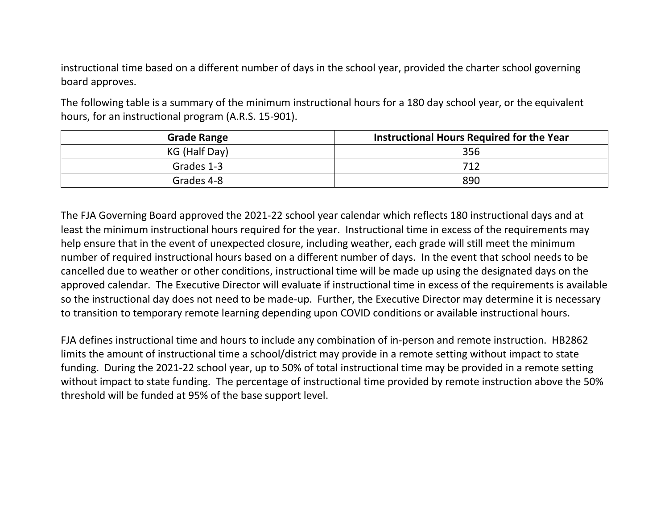instructional time based on a different number of days in the school year, provided the charter school governing board approves.

The following table is a summary of the minimum instructional hours for a 180 day school year, or the equivalent hours, for an instructional program (A.R.S. 15-901).

| <b>Grade Range</b> | Instructional Hours Required for the Year |
|--------------------|-------------------------------------------|
| KG (Half Day)      | 356                                       |
| Grades 1-3         | 712                                       |
| Grades 4-8         | 890                                       |

The FJA Governing Board approved the 2021-22 school year calendar which reflects 180 instructional days and at least the minimum instructional hours required for the year. Instructional time in excess of the requirements may help ensure that in the event of unexpected closure, including weather, each grade will still meet the minimum number of required instructional hours based on a different number of days. In the event that school needs to be cancelled due to weather or other conditions, instructional time will be made up using the designated days on the approved calendar. The Executive Director will evaluate if instructional time in excess of the requirements is available so the instructional day does not need to be made-up. Further, the Executive Director may determine it is necessary to transition to temporary remote learning depending upon COVID conditions or available instructional hours.

FJA defines instructional time and hours to include any combination of in-person and remote instruction. HB2862 limits the amount of instructional time a school/district may provide in a remote setting without impact to state funding. During the 2021-22 school year, up to 50% of total instructional time may be provided in a remote setting without impact to state funding. The percentage of instructional time provided by remote instruction above the 50% threshold will be funded at 95% of the base support level.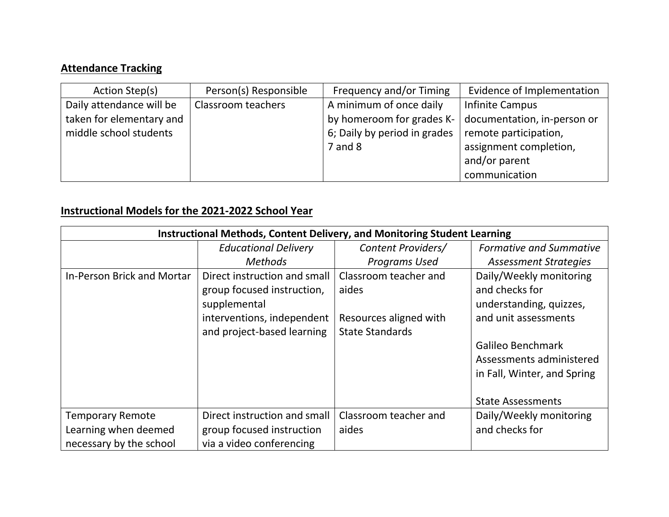# **Attendance Tracking**

| Action Step(s)           | Person(s) Responsible | Frequency and/or Timing      | Evidence of Implementation  |
|--------------------------|-----------------------|------------------------------|-----------------------------|
| Daily attendance will be | Classroom teachers    | A minimum of once daily      | Infinite Campus             |
| taken for elementary and |                       | by homeroom for grades K-    | documentation, in-person or |
| middle school students   |                       | 6; Daily by period in grades | remote participation,       |
|                          |                       | $7$ and $8$                  | assignment completion,      |
|                          |                       |                              | and/or parent               |
|                          |                       |                              | communication               |

### **Instructional Models for the 2021-2022 School Year**

| Instructional Methods, Content Delivery, and Monitoring Student Learning |                              |                        |                                |
|--------------------------------------------------------------------------|------------------------------|------------------------|--------------------------------|
|                                                                          | <b>Educational Delivery</b>  | Content Providers/     | <b>Formative and Summative</b> |
|                                                                          | <b>Methods</b>               | <b>Programs Used</b>   | <b>Assessment Strategies</b>   |
| In-Person Brick and Mortar                                               | Direct instruction and small | Classroom teacher and  | Daily/Weekly monitoring        |
|                                                                          | group focused instruction,   | aides                  | and checks for                 |
|                                                                          | supplemental                 |                        | understanding, quizzes,        |
|                                                                          | interventions, independent   | Resources aligned with | and unit assessments           |
|                                                                          | and project-based learning   | <b>State Standards</b> |                                |
|                                                                          |                              |                        | Galileo Benchmark              |
|                                                                          |                              |                        | Assessments administered       |
|                                                                          |                              |                        | in Fall, Winter, and Spring    |
|                                                                          |                              |                        |                                |
|                                                                          |                              |                        | <b>State Assessments</b>       |
| <b>Temporary Remote</b>                                                  | Direct instruction and small | Classroom teacher and  | Daily/Weekly monitoring        |
| Learning when deemed                                                     | group focused instruction    | aides                  | and checks for                 |
| necessary by the school                                                  | via a video conferencing     |                        |                                |